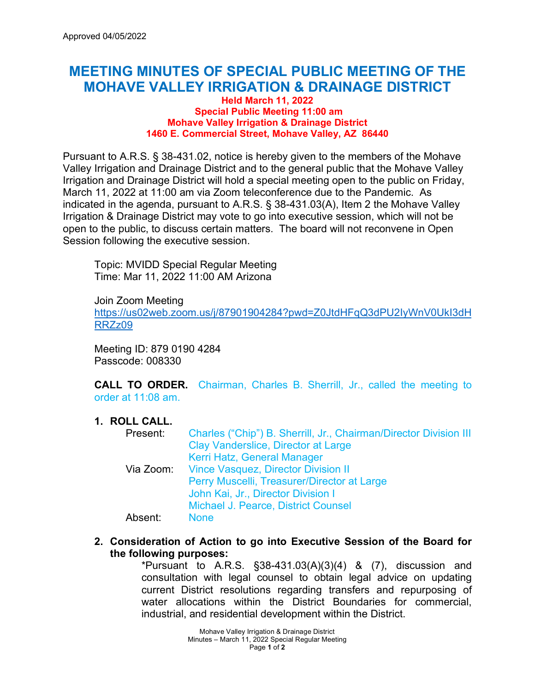# **MEETING MINUTES OF SPECIAL PUBLIC MEETING OF THE MOHAVE VALLEY IRRIGATION & DRAINAGE DISTRICT**

#### **Held March 11, 2022 Special Public Meeting 11:00 am Mohave Valley Irrigation & Drainage District 1460 E. Commercial Street, Mohave Valley, AZ 86440**

Pursuant to A.R.S. § 38-431.02, notice is hereby given to the members of the Mohave Valley Irrigation and Drainage District and to the general public that the Mohave Valley Irrigation and Drainage District will hold a special meeting open to the public on Friday, March 11, 2022 at 11:00 am via Zoom teleconference due to the Pandemic. As indicated in the agenda, pursuant to A.R.S. § 38-431.03(A), Item 2 the Mohave Valley Irrigation & Drainage District may vote to go into executive session, which will not be open to the public, to discuss certain matters. The board will not reconvene in Open Session following the executive session.

Topic: MVIDD Special Regular Meeting Time: Mar 11, 2022 11:00 AM Arizona

Join Zoom Meeting

[https://us02web.zoom.us/j/87901904284?pwd=Z0JtdHFqQ3dPU2IyWnV0UkI3dH](https://us02web.zoom.us/j/87901904284?pwd=Z0JtdHFqQ3dPU2IyWnV0UkI3dHRRZz09) [RRZz09](https://us02web.zoom.us/j/87901904284?pwd=Z0JtdHFqQ3dPU2IyWnV0UkI3dHRRZz09)

Meeting ID: 879 0190 4284 Passcode: 008330

**CALL TO ORDER.** Chairman, Charles B. Sherrill, Jr., called the meeting to order at 11:08 am.

## **1. ROLL CALL.**

| Present: | Charles ("Chip") B. Sherrill, Jr., Chairman/Director Division III |
|----------|-------------------------------------------------------------------|
|          | Clay Vanderslice, Director at Large                               |
|          | Kerri Hatz, General Manager                                       |
|          | Via Zoom: Vince Vasquez, Director Division II                     |
|          | Perry Muscelli, Treasurer/Director at Large                       |
|          | John Kai, Jr., Director Division I                                |
|          | <b>Michael J. Pearce, District Counsel</b>                        |
| Absent:  | <b>None</b>                                                       |

**2. Consideration of Action to go into Executive Session of the Board for the following purposes:** 

\*Pursuant to A.R.S.  $\S$ 38-431.03(A)(3)(4) & (7), discussion and consultation with legal counsel to obtain legal advice on updating current District resolutions regarding transfers and repurposing of water allocations within the District Boundaries for commercial, industrial, and residential development within the District.